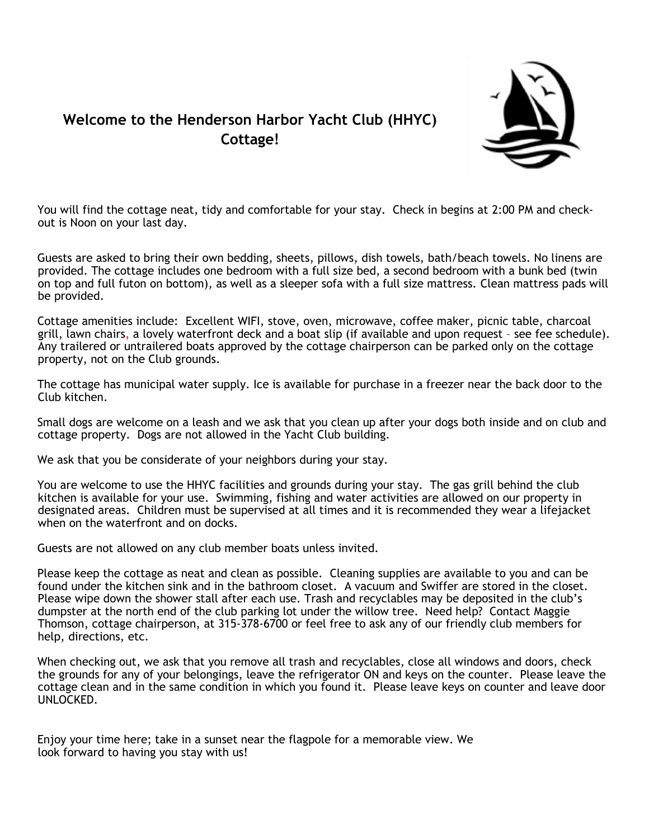### **Welcome to the Henderson Harbor Yacht Club (HHYC) Cottage!**



You will find the cottage neat, tidy and comfortable for your stay. Check in begins at 2:00 PM and checkout is Noon on your last day.

Guests are asked to bring their own bedding, sheets, pillows, dish towels, bath/beach towels. No linens are provided. The cottage includes one bedroom with a full size bed, a second bedroom with a bunk bed (twin on top and full futon on bottom), as well as a sleeper sofa with a full size mattress. Clean mattress pads will be provided.

Cottage amenities include: Excellent WIFI, stove, oven, microwave, coffee maker, picnic table, charcoal grill, lawn chairs, a lovely waterfront deck and a boat slip (if available and upon request – see fee schedule). Any trailered or untrailered boats approved by the cottage chairperson can be parked only on the cottage property, not on the Club grounds.

The cottage has municipal water supply. Ice is available for purchase in a freezer near the back door to the Club kitchen.

Small dogs are welcome on a leash and we ask that you clean up after your dogs both inside and on club and cottage property. Dogs are not allowed in the Yacht Club building.

We ask that you be considerate of your neighbors during your stay.

You are welcome to use the HHYC facilities and grounds during your stay. The gas grill behind the club kitchen is available for your use. Swimming, fishing and water activities are allowed on our property in designated areas. Children must be supervised at all times and it is recommended they wear a lifejacket when on the waterfront and on docks.

Guests are not allowed on any club member boats unless invited.

Please keep the cottage as neat and clean as possible. Cleaning supplies are available to you and can be found under the kitchen sink and in the bathroom closet. A vacuum and Swiffer are stored in the closet. Please wipe down the shower stall after each use. Trash and recyclables may be deposited in the club's dumpster at the north end of the club parking lot under the willow tree. Need help? Contact Maggie Thomson, cottage chairperson, at 315-378-6700 or feel free to ask any of our friendly club members for help, directions, etc.

When checking out, we ask that you remove all trash and recyclables, close all windows and doors, check the grounds for any of your belongings, leave the refrigerator ON and keys on the counter. Please leave the cottage clean and in the same condition in which you found it. Please leave keys on counter and leave door UNLOCKED.

Enjoy your time here; take in a sunset near the flagpole for a memorable view. We look forward to having you stay with us!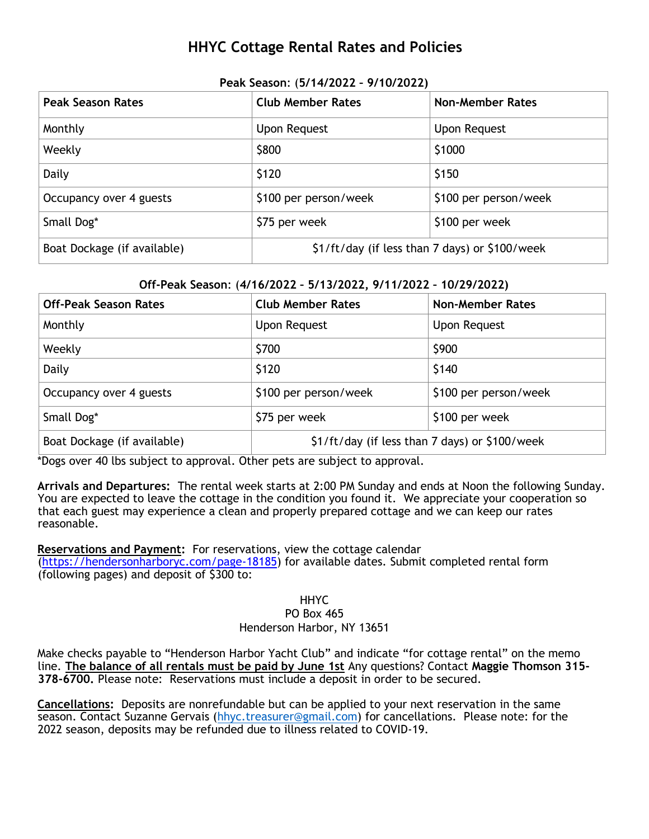## **HHYC Cottage Rental Rates and Policies**

| <b>Peak Season Rates</b>    | <b>Club Member Rates</b>                       | <b>Non-Member Rates</b> |  |  |
|-----------------------------|------------------------------------------------|-------------------------|--|--|
| Monthly                     | Upon Request                                   | <b>Upon Request</b>     |  |  |
| Weekly                      | \$800                                          | \$1000                  |  |  |
| Daily                       | \$120                                          | \$150                   |  |  |
| Occupancy over 4 guests     | \$100 per person/week                          | \$100 per person/week   |  |  |
| Small Dog*                  | \$75 per week                                  | \$100 per week          |  |  |
| Boat Dockage (if available) | \$1/ft/day (if less than 7 days) or \$100/week |                         |  |  |

#### **Peak Season**: (**5/14/2022 – 9/10/2022)**

#### **Off-Peak Season**: (**4/16/2022 – 5/13/2022, 9/11/2022 – 10/29/2022)**

| <b>Off-Peak Season Rates</b> | <b>Club Member Rates</b>                       | <b>Non-Member Rates</b> |  |  |
|------------------------------|------------------------------------------------|-------------------------|--|--|
| Monthly                      | Upon Request                                   | <b>Upon Request</b>     |  |  |
| Weekly                       | \$700                                          | \$900                   |  |  |
| Daily                        | \$120                                          | \$140                   |  |  |
| Occupancy over 4 guests      | \$100 per person/week<br>\$100 per person/week |                         |  |  |
| Small Dog*                   | \$75 per week                                  | \$100 per week          |  |  |
| Boat Dockage (if available)  | \$1/ft/day (if less than 7 days) or \$100/week |                         |  |  |

\*Dogs over 40 lbs subject to approval. Other pets are subject to approval.

**Arrivals and Departures:** The rental week starts at 2:00 PM Sunday and ends at Noon the following Sunday. You are expected to leave the cottage in the condition you found it. We appreciate your cooperation so that each guest may experience a clean and properly prepared cottage and we can keep our rates reasonable.

**Reservations and Payment:** For reservations, view the cottage calendar [\(https://hendersonharboryc.com/page-18185\)](https://hendersonharboryc.com/page-18185) for available dates. Submit completed rental form (following pages) and deposit of \$300 to:

#### HHYC PO Box 465 Henderson Harbor, NY 13651

Make checks payable to "Henderson Harbor Yacht Club" and indicate "for cottage rental" on the memo line. **The balance of all rentals must be paid by June 1st** Any questions? Contact **Maggie Thomson 315- 378-6700.** Please note: Reservations must include a deposit in order to be secured.

**Cancellations:** Deposits are nonrefundable but can be applied to your next reservation in the same season. Contact Suzanne Gervais [\(hhyc.treasurer@gmail.com\)](mailto:hhyc.treasurer@gmail.com) for cancellations. Please note: for the 2022 season, deposits may be refunded due to illness related to COVID-19.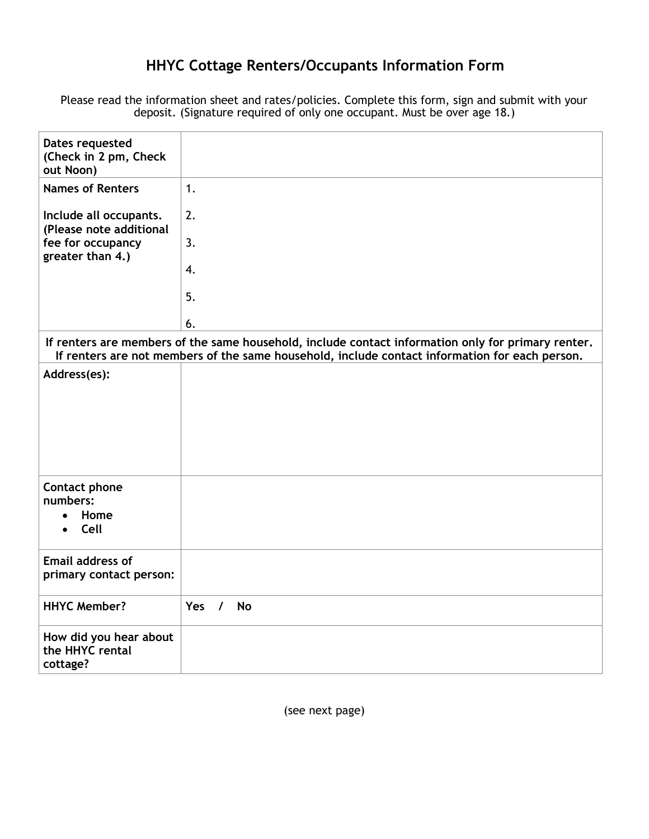# **HHYC Cottage Renters/Occupants Information Form**

Please read the information sheet and rates/policies. Complete this form, sign and submit with your deposit. (Signature required of only one occupant. Must be over age 18.)

| Dates requested<br>(Check in 2 pm, Check<br>out Noon) |                                                                                                                                                                                                      |
|-------------------------------------------------------|------------------------------------------------------------------------------------------------------------------------------------------------------------------------------------------------------|
| <b>Names of Renters</b>                               | 1.                                                                                                                                                                                                   |
| Include all occupants.<br>(Please note additional     | 2.                                                                                                                                                                                                   |
| fee for occupancy<br>greater than 4.)                 | 3.                                                                                                                                                                                                   |
|                                                       | 4.                                                                                                                                                                                                   |
|                                                       | 5.                                                                                                                                                                                                   |
|                                                       | 6.                                                                                                                                                                                                   |
|                                                       | If renters are members of the same household, include contact information only for primary renter.<br>If renters are not members of the same household, include contact information for each person. |
| Address(es):                                          |                                                                                                                                                                                                      |
|                                                       |                                                                                                                                                                                                      |
|                                                       |                                                                                                                                                                                                      |
|                                                       |                                                                                                                                                                                                      |
|                                                       |                                                                                                                                                                                                      |
| Contact phone<br>numbers:                             |                                                                                                                                                                                                      |
| Home                                                  |                                                                                                                                                                                                      |
| Cell                                                  |                                                                                                                                                                                                      |
| <b>Email address of</b>                               |                                                                                                                                                                                                      |
| primary contact person:                               |                                                                                                                                                                                                      |
| <b>HHYC Member?</b>                                   | Yes $/$<br><b>No</b>                                                                                                                                                                                 |
| How did you hear about<br>the HHYC rental             |                                                                                                                                                                                                      |
| cottage?                                              |                                                                                                                                                                                                      |